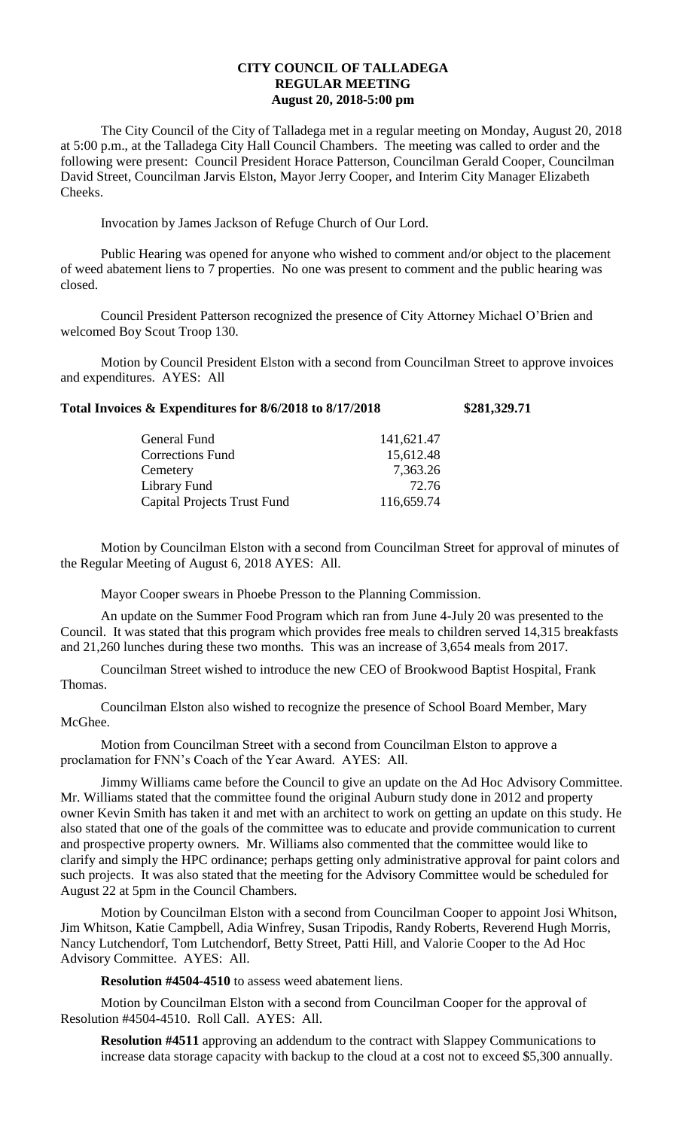## **CITY COUNCIL OF TALLADEGA REGULAR MEETING August 20, 2018-5:00 pm**

The City Council of the City of Talladega met in a regular meeting on Monday, August 20, 2018 at 5:00 p.m., at the Talladega City Hall Council Chambers. The meeting was called to order and the following were present: Council President Horace Patterson, Councilman Gerald Cooper, Councilman David Street, Councilman Jarvis Elston, Mayor Jerry Cooper, and Interim City Manager Elizabeth Cheeks.

Invocation by James Jackson of Refuge Church of Our Lord.

Public Hearing was opened for anyone who wished to comment and/or object to the placement of weed abatement liens to 7 properties. No one was present to comment and the public hearing was closed.

Council President Patterson recognized the presence of City Attorney Michael O'Brien and welcomed Boy Scout Troop 130.

Motion by Council President Elston with a second from Councilman Street to approve invoices and expenditures. AYES: All

| Total Invoices & Expenditures for 8/6/2018 to 8/17/2018 | \$281,329.71 |
|---------------------------------------------------------|--------------|
|                                                         |              |

| General Fund                       | 141,621.47 |
|------------------------------------|------------|
| <b>Corrections Fund</b>            | 15,612.48  |
| Cemetery                           | 7,363.26   |
| Library Fund                       | 72.76      |
| <b>Capital Projects Trust Fund</b> | 116,659.74 |

Motion by Councilman Elston with a second from Councilman Street for approval of minutes of the Regular Meeting of August 6, 2018 AYES: All.

Mayor Cooper swears in Phoebe Presson to the Planning Commission.

An update on the Summer Food Program which ran from June 4-July 20 was presented to the Council. It was stated that this program which provides free meals to children served 14,315 breakfasts and 21,260 lunches during these two months. This was an increase of 3,654 meals from 2017.

Councilman Street wished to introduce the new CEO of Brookwood Baptist Hospital, Frank Thomas.

Councilman Elston also wished to recognize the presence of School Board Member, Mary McGhee.

Motion from Councilman Street with a second from Councilman Elston to approve a proclamation for FNN's Coach of the Year Award. AYES: All.

Jimmy Williams came before the Council to give an update on the Ad Hoc Advisory Committee. Mr. Williams stated that the committee found the original Auburn study done in 2012 and property owner Kevin Smith has taken it and met with an architect to work on getting an update on this study. He also stated that one of the goals of the committee was to educate and provide communication to current and prospective property owners. Mr. Williams also commented that the committee would like to clarify and simply the HPC ordinance; perhaps getting only administrative approval for paint colors and such projects. It was also stated that the meeting for the Advisory Committee would be scheduled for August 22 at 5pm in the Council Chambers.

Motion by Councilman Elston with a second from Councilman Cooper to appoint Josi Whitson, Jim Whitson, Katie Campbell, Adia Winfrey, Susan Tripodis, Randy Roberts, Reverend Hugh Morris, Nancy Lutchendorf, Tom Lutchendorf, Betty Street, Patti Hill, and Valorie Cooper to the Ad Hoc Advisory Committee. AYES: All.

**Resolution #4504-4510** to assess weed abatement liens.

Motion by Councilman Elston with a second from Councilman Cooper for the approval of Resolution #4504-4510. Roll Call. AYES: All.

**Resolution #4511** approving an addendum to the contract with Slappey Communications to increase data storage capacity with backup to the cloud at a cost not to exceed \$5,300 annually.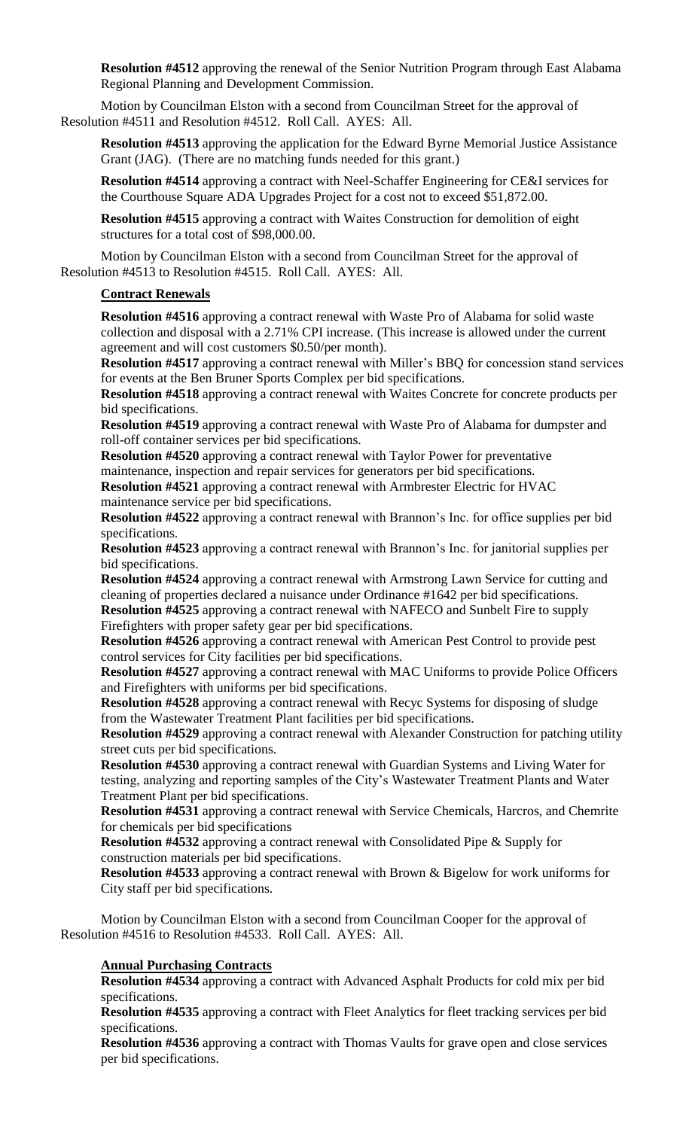**Resolution #4512** approving the renewal of the Senior Nutrition Program through East Alabama Regional Planning and Development Commission.

Motion by Councilman Elston with a second from Councilman Street for the approval of Resolution #4511 and Resolution #4512. Roll Call. AYES: All.

**Resolution #4513** approving the application for the Edward Byrne Memorial Justice Assistance Grant (JAG). (There are no matching funds needed for this grant.)

**Resolution #4514** approving a contract with Neel-Schaffer Engineering for CE&I services for the Courthouse Square ADA Upgrades Project for a cost not to exceed \$51,872.00.

**Resolution #4515** approving a contract with Waites Construction for demolition of eight structures for a total cost of \$98,000.00.

Motion by Councilman Elston with a second from Councilman Street for the approval of Resolution #4513 to Resolution #4515. Roll Call. AYES: All.

#### **Contract Renewals**

**Resolution #4516** approving a contract renewal with Waste Pro of Alabama for solid waste collection and disposal with a 2.71% CPI increase. (This increase is allowed under the current agreement and will cost customers \$0.50/per month).

**Resolution #4517** approving a contract renewal with Miller's BBQ for concession stand services for events at the Ben Bruner Sports Complex per bid specifications.

**Resolution #4518** approving a contract renewal with Waites Concrete for concrete products per bid specifications.

**Resolution #4519** approving a contract renewal with Waste Pro of Alabama for dumpster and roll-off container services per bid specifications.

**Resolution #4520** approving a contract renewal with Taylor Power for preventative maintenance, inspection and repair services for generators per bid specifications.

**Resolution #4521** approving a contract renewal with Armbrester Electric for HVAC maintenance service per bid specifications.

**Resolution #4522** approving a contract renewal with Brannon's Inc. for office supplies per bid specifications.

**Resolution #4523** approving a contract renewal with Brannon's Inc. for janitorial supplies per bid specifications.

**Resolution #4524** approving a contract renewal with Armstrong Lawn Service for cutting and cleaning of properties declared a nuisance under Ordinance #1642 per bid specifications. **Resolution #4525** approving a contract renewal with NAFECO and Sunbelt Fire to supply Firefighters with proper safety gear per bid specifications.

**Resolution #4526** approving a contract renewal with American Pest Control to provide pest control services for City facilities per bid specifications.

**Resolution #4527** approving a contract renewal with MAC Uniforms to provide Police Officers and Firefighters with uniforms per bid specifications.

**Resolution #4528** approving a contract renewal with Recyc Systems for disposing of sludge from the Wastewater Treatment Plant facilities per bid specifications.

**Resolution #4529** approving a contract renewal with Alexander Construction for patching utility street cuts per bid specifications.

**Resolution #4530** approving a contract renewal with Guardian Systems and Living Water for testing, analyzing and reporting samples of the City's Wastewater Treatment Plants and Water Treatment Plant per bid specifications.

**Resolution #4531** approving a contract renewal with Service Chemicals, Harcros, and Chemrite for chemicals per bid specifications

**Resolution #4532** approving a contract renewal with Consolidated Pipe & Supply for construction materials per bid specifications.

**Resolution #4533** approving a contract renewal with Brown & Bigelow for work uniforms for City staff per bid specifications.

Motion by Councilman Elston with a second from Councilman Cooper for the approval of Resolution #4516 to Resolution #4533. Roll Call. AYES: All.

## **Annual Purchasing Contracts**

**Resolution #4534** approving a contract with Advanced Asphalt Products for cold mix per bid specifications.

**Resolution #4535** approving a contract with Fleet Analytics for fleet tracking services per bid specifications.

**Resolution #4536** approving a contract with Thomas Vaults for grave open and close services per bid specifications.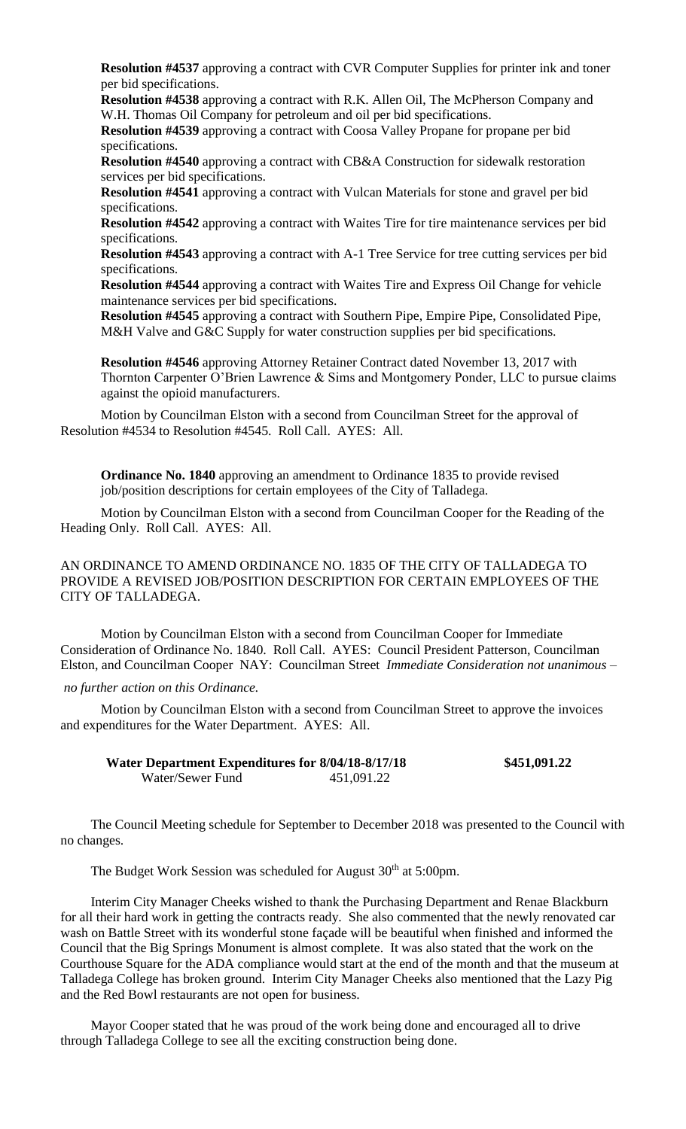**Resolution #4537** approving a contract with CVR Computer Supplies for printer ink and toner per bid specifications.

**Resolution #4538** approving a contract with R.K. Allen Oil, The McPherson Company and W.H. Thomas Oil Company for petroleum and oil per bid specifications.

**Resolution #4539** approving a contract with Coosa Valley Propane for propane per bid specifications.

**Resolution #4540** approving a contract with CB&A Construction for sidewalk restoration services per bid specifications.

**Resolution #4541** approving a contract with Vulcan Materials for stone and gravel per bid specifications.

**Resolution #4542** approving a contract with Waites Tire for tire maintenance services per bid specifications.

**Resolution #4543** approving a contract with A-1 Tree Service for tree cutting services per bid specifications.

**Resolution #4544** approving a contract with Waites Tire and Express Oil Change for vehicle maintenance services per bid specifications.

**Resolution #4545** approving a contract with Southern Pipe, Empire Pipe, Consolidated Pipe, M&H Valve and G&C Supply for water construction supplies per bid specifications.

**Resolution #4546** approving Attorney Retainer Contract dated November 13, 2017 with Thornton Carpenter O'Brien Lawrence & Sims and Montgomery Ponder, LLC to pursue claims against the opioid manufacturers.

Motion by Councilman Elston with a second from Councilman Street for the approval of Resolution #4534 to Resolution #4545. Roll Call. AYES: All.

**Ordinance No. 1840** approving an amendment to Ordinance 1835 to provide revised job/position descriptions for certain employees of the City of Talladega.

Motion by Councilman Elston with a second from Councilman Cooper for the Reading of the Heading Only. Roll Call. AYES: All.

AN ORDINANCE TO AMEND ORDINANCE NO. 1835 OF THE CITY OF TALLADEGA TO PROVIDE A REVISED JOB/POSITION DESCRIPTION FOR CERTAIN EMPLOYEES OF THE CITY OF TALLADEGA.

Motion by Councilman Elston with a second from Councilman Cooper for Immediate Consideration of Ordinance No. 1840. Roll Call. AYES: Council President Patterson, Councilman Elston, and Councilman Cooper NAY: Councilman Street *Immediate Consideration not unanimous –*

*no further action on this Ordinance.*

Motion by Councilman Elston with a second from Councilman Street to approve the invoices and expenditures for the Water Department. AYES: All.

| Water Department Expenditures for 8/04/18-8/17/18 |            | \$451,091.22 |
|---------------------------------------------------|------------|--------------|
| Water/Sewer Fund                                  | 451,091.22 |              |

The Council Meeting schedule for September to December 2018 was presented to the Council with no changes.

The Budget Work Session was scheduled for August 30<sup>th</sup> at 5:00pm.

Interim City Manager Cheeks wished to thank the Purchasing Department and Renae Blackburn for all their hard work in getting the contracts ready. She also commented that the newly renovated car wash on Battle Street with its wonderful stone façade will be beautiful when finished and informed the Council that the Big Springs Monument is almost complete. It was also stated that the work on the Courthouse Square for the ADA compliance would start at the end of the month and that the museum at Talladega College has broken ground. Interim City Manager Cheeks also mentioned that the Lazy Pig and the Red Bowl restaurants are not open for business.

Mayor Cooper stated that he was proud of the work being done and encouraged all to drive through Talladega College to see all the exciting construction being done.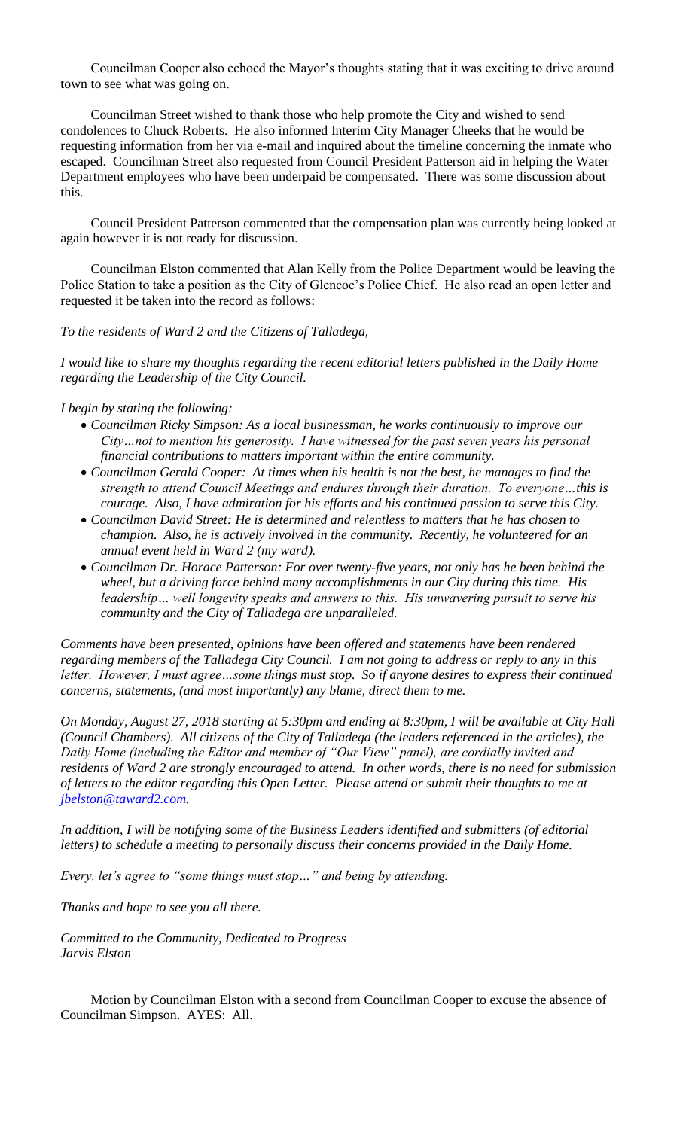Councilman Cooper also echoed the Mayor's thoughts stating that it was exciting to drive around town to see what was going on.

Councilman Street wished to thank those who help promote the City and wished to send condolences to Chuck Roberts. He also informed Interim City Manager Cheeks that he would be requesting information from her via e-mail and inquired about the timeline concerning the inmate who escaped. Councilman Street also requested from Council President Patterson aid in helping the Water Department employees who have been underpaid be compensated. There was some discussion about this.

Council President Patterson commented that the compensation plan was currently being looked at again however it is not ready for discussion.

Councilman Elston commented that Alan Kelly from the Police Department would be leaving the Police Station to take a position as the City of Glencoe's Police Chief. He also read an open letter and requested it be taken into the record as follows:

*To the residents of Ward 2 and the Citizens of Talladega,*

*I would like to share my thoughts regarding the recent editorial letters published in the Daily Home regarding the Leadership of the City Council.*

#### *I begin by stating the following:*

- *Councilman Ricky Simpson: As a local businessman, he works continuously to improve our City…not to mention his generosity. I have witnessed for the past seven years his personal financial contributions to matters important within the entire community.*
- *Councilman Gerald Cooper: At times when his health is not the best, he manages to find the strength to attend Council Meetings and endures through their duration. To everyone…this is courage. Also, I have admiration for his efforts and his continued passion to serve this City.*
- *Councilman David Street: He is determined and relentless to matters that he has chosen to champion. Also, he is actively involved in the community. Recently, he volunteered for an annual event held in Ward 2 (my ward).*
- *Councilman Dr. Horace Patterson: For over twenty-five years, not only has he been behind the wheel, but a driving force behind many accomplishments in our City during this time. His leadership… well longevity speaks and answers to this. His unwavering pursuit to serve his community and the City of Talladega are unparalleled.*

*Comments have been presented, opinions have been offered and statements have been rendered regarding members of the Talladega City Council. I am not going to address or reply to any in this letter. However, I must agree…some things must stop. So if anyone desires to express their continued concerns, statements, (and most importantly) any blame, direct them to me.*

*On Monday, August 27, 2018 starting at 5:30pm and ending at 8:30pm, I will be available at City Hall (Council Chambers). All citizens of the City of Talladega (the leaders referenced in the articles), the Daily Home (including the Editor and member of "Our View" panel), are cordially invited and residents of Ward 2 are strongly encouraged to attend. In other words, there is no need for submission of letters to the editor regarding this Open Letter. Please attend or submit their thoughts to me at [jbelston@taward2.com.](mailto:jbelston@taward2.com)*

*In addition, I will be notifying some of the Business Leaders identified and submitters (of editorial letters) to schedule a meeting to personally discuss their concerns provided in the Daily Home.*

*Every, let's agree to "some things must stop…" and being by attending.*

*Thanks and hope to see you all there.*

*Committed to the Community, Dedicated to Progress Jarvis Elston*

Motion by Councilman Elston with a second from Councilman Cooper to excuse the absence of Councilman Simpson. AYES: All.